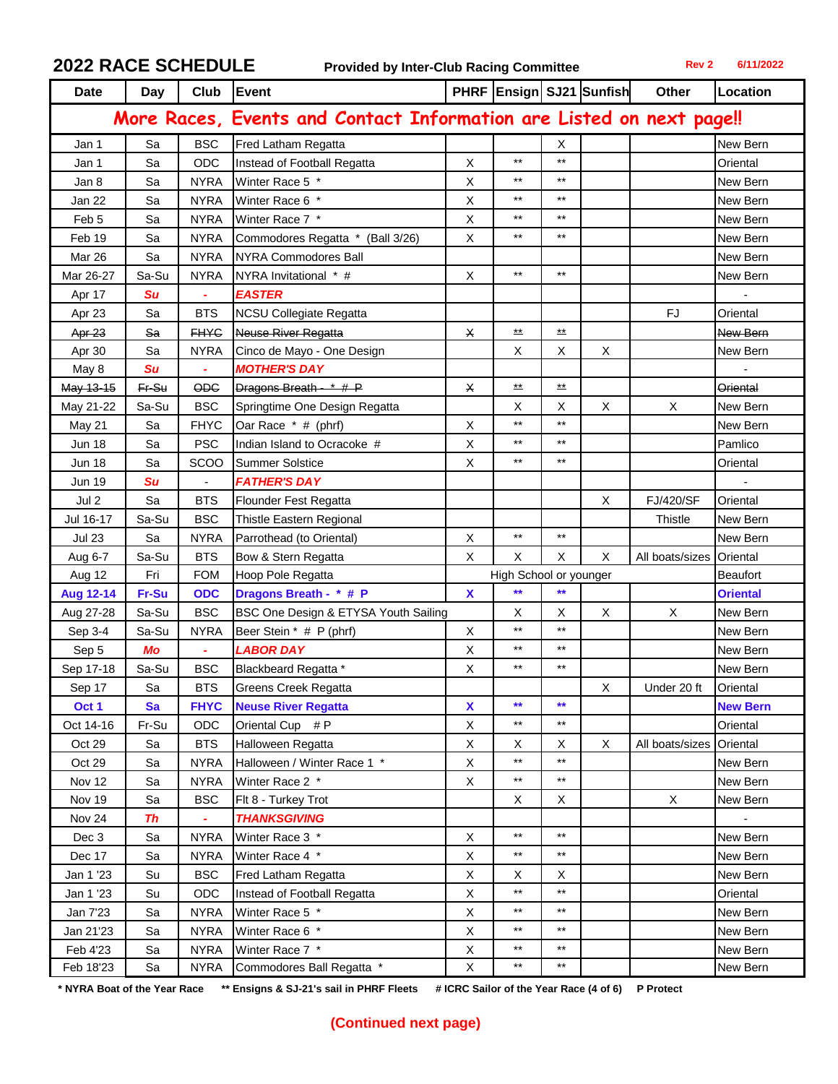**2022 RACE SCHEDULE Provided by Inter-Club Racing Committee Rev 2 6/11/2022**

| <b>Date</b>                                                          | Day       |                | Club Event                           |             |                            |                            | PHRF Ensign SJ21 Sunfish | Other            | Location        |
|----------------------------------------------------------------------|-----------|----------------|--------------------------------------|-------------|----------------------------|----------------------------|--------------------------|------------------|-----------------|
| More Races, Events and Contact Information are Listed on next page!! |           |                |                                      |             |                            |                            |                          |                  |                 |
| Jan 1                                                                | Sa        | <b>BSC</b>     | Fred Latham Regatta                  |             |                            | Χ                          |                          |                  | New Bern        |
| Jan 1                                                                | Sa        | ODC            | Instead of Football Regatta          | X           | $***$                      | $***$                      |                          |                  | Oriental        |
| Jan 8                                                                | Sa        | <b>NYRA</b>    | Winter Race 5 *                      | X           | $***$                      | $***$                      |                          |                  | New Bern        |
| Jan 22                                                               | Sa        | <b>NYRA</b>    | Winter Race 6 *                      | X           | $***$                      | $***$                      |                          |                  | New Bern        |
| Feb <sub>5</sub>                                                     | Sa        | <b>NYRA</b>    | Winter Race 7 *                      | X           | $\star\star$               | $***$                      |                          |                  | New Bern        |
| Feb 19                                                               | Sa        | <b>NYRA</b>    | Commodores Regatta * (Ball 3/26)     | X           | $***$                      | $***$                      |                          |                  | New Bern        |
| Mar 26                                                               | Sa        | <b>NYRA</b>    | <b>NYRA Commodores Ball</b>          |             |                            |                            |                          |                  | New Bern        |
| Mar 26-27                                                            | Sa-Su     | <b>NYRA</b>    | NYRA Invitational * #                | X           | $\star\star$               | $***$                      |                          |                  | New Bern        |
| Apr 17                                                               | Su        |                | <b>EASTER</b>                        |             |                            |                            |                          |                  |                 |
| Apr 23                                                               | Sa        | <b>BTS</b>     | <b>NCSU Collegiate Regatta</b>       |             |                            |                            |                          | <b>FJ</b>        | Oriental        |
| Apr 23                                                               | Sa        | <b>FHYC</b>    | <b>Neuse River Regatta</b>           | X           | $\stackrel{\star\star}{=}$ | $\stackrel{\star\star}{=}$ |                          |                  | New Bern        |
| Apr 30                                                               | Sa        | <b>NYRA</b>    | Cinco de Mayo - One Design           |             | X                          | X                          | X                        |                  | New Bern        |
| May 8                                                                | <b>Su</b> |                | <b>MOTHER'S DAY</b>                  |             |                            |                            |                          |                  |                 |
| May 13-15                                                            | $Fr-Su$   | <b>ODC</b>     | Dragons Breath - $*$ # P             | X           | $\stackrel{\star\star}{-}$ | $\stackrel{\star}{=}$      |                          |                  | <b>Oriental</b> |
| May 21-22                                                            | Sa-Su     | <b>BSC</b>     | Springtime One Design Regatta        |             | X                          | X                          | X                        | X                | New Bern        |
| May 21                                                               | Sa        | <b>FHYC</b>    | Oar Race * # (phrf)                  | X           | $\star\star$               | $***$                      |                          |                  | New Bern        |
| <b>Jun 18</b>                                                        | Sa        | <b>PSC</b>     | Indian Island to Ocracoke #          | X           | $***$                      | $***$                      |                          |                  | Pamlico         |
| <b>Jun 18</b>                                                        | Sa        | SCOO           | <b>Summer Solstice</b>               | X           | $\star\star$               | $***$                      |                          |                  | Oriental        |
| <b>Jun 19</b>                                                        | <b>Su</b> |                | <b>FATHER'S DAY</b>                  |             |                            |                            |                          |                  |                 |
| Jul 2                                                                | Sa        | <b>BTS</b>     | <b>Flounder Fest Regatta</b>         |             |                            |                            | X                        | <b>FJ/420/SF</b> | Oriental        |
| Jul 16-17                                                            | Sa-Su     | <b>BSC</b>     | Thistle Eastern Regional             |             |                            |                            |                          | Thistle          | New Bern        |
| <b>Jul 23</b>                                                        | Sa        | <b>NYRA</b>    | Parrothead (to Oriental)             | $\mathsf X$ | $\star\star$               | $***$                      |                          |                  | New Bern        |
| Aug 6-7                                                              | Sa-Su     | <b>BTS</b>     | Bow & Stern Regatta                  | X           | X                          | X                          | X                        | All boats/sizes  | Oriental        |
| Aug 12                                                               | Fri       | <b>FOM</b>     | Hoop Pole Regatta                    |             | High School or younger     |                            |                          | <b>Beaufort</b>  |                 |
| <b>Aug 12-14</b>                                                     | Fr-Su     | <b>ODC</b>     | Dragons Breath - * # P               | X           | $\star\star$               | $**$                       |                          |                  | <b>Oriental</b> |
| Aug 27-28                                                            | Sa-Su     | <b>BSC</b>     | BSC One Design & ETYSA Youth Sailing |             | X                          | X                          | X                        | X                | New Bern        |
| Sep 3-4                                                              | Sa-Su     | <b>NYRA</b>    | Beer Stein * # P (phrf)              | X           | $***$                      | $***$                      |                          |                  | New Bern        |
| Sep 5                                                                | Mo        | $\blacksquare$ | <b>LABOR DAY</b>                     | X           | $***$                      | $***$                      |                          |                  | New Bern        |
| Sep 17-18                                                            | Sa-Su     | <b>BSC</b>     | Blackbeard Regatta *                 | X           | $***$                      | $***$                      |                          |                  | New Bern        |
| Sep 17                                                               | Sa        | <b>BTS</b>     | <b>Greens Creek Regatta</b>          |             |                            |                            | Χ                        | Under 20 ft      | Oriental        |
| Oct 1                                                                | <b>Sa</b> | <b>FHYC</b>    | <b>Neuse River Regatta</b>           | X           | $\star\star$               | $\star\star$               |                          |                  | <b>New Bern</b> |
| Oct 14-16                                                            | Fr-Su     | ODC            | Oriental Cup # P                     | X           | $\star\star$               | $\star\star$               |                          |                  | Oriental        |
| Oct 29                                                               | Sa        | <b>BTS</b>     | Halloween Regatta                    | X           | X                          | X                          | X                        | All boats/sizes  | Oriental        |
| Oct 29                                                               | Sa        | <b>NYRA</b>    | Halloween / Winter Race 1 *          | X           | $\star\star$               | $\star\star$               |                          |                  | New Bern        |
| Nov 12                                                               | Sa        | <b>NYRA</b>    | Winter Race 2 *                      | X           | $***$                      | $\star\star$               |                          |                  | New Bern        |
| Nov 19                                                               | Sa        | <b>BSC</b>     | Flt 8 - Turkey Trot                  |             | X                          | X                          |                          | $\mathsf X$      | New Bern        |
| Nov 24                                                               | <b>Th</b> | ٠              | <b>THANKSGIVING</b>                  |             |                            |                            |                          |                  |                 |
| Dec 3                                                                | Sa        | <b>NYRA</b>    | Winter Race 3 *                      | X           | $\star\star$               | $***$                      |                          |                  | New Bern        |
| Dec 17                                                               | Sa        | <b>NYRA</b>    | Winter Race 4 *                      | X           | $\star\star$               | $\star\star$               |                          |                  | New Bern        |
| Jan 1 '23                                                            | Su        | <b>BSC</b>     | Fred Latham Regatta                  | X           | X                          | X                          |                          |                  | New Bern        |
| Jan 1 '23                                                            | Su        | ODC            | Instead of Football Regatta          | X           | $\star\star$               | $\star\star$               |                          |                  | Oriental        |
| Jan 7'23                                                             | Sa        | <b>NYRA</b>    | Winter Race 5 *                      | X           | $\star\star$               | $^{\star\star}$            |                          |                  | New Bern        |
| Jan 21'23                                                            | Sa        | <b>NYRA</b>    | Winter Race 6 *                      | X           | $\star\star$               | $^{\star\star}$            |                          |                  | New Bern        |
| Feb 4'23                                                             | Sa        | <b>NYRA</b>    | Winter Race 7 *                      | X           | $\star\star$               | $\star\star$               |                          |                  | New Bern        |
| Feb 18'23                                                            | Sa        | <b>NYRA</b>    | Commodores Ball Regatta *            | X           | $\star\star$               | $\star\star$               |                          |                  | New Bern        |

\* NYRA Boat of the Year Race \*\* Ensigns & SJ-21's sail in PHRF Fleets # ICRC Sailor of the Year Race (4 of 6) P Protect

## **(Continued next page)**